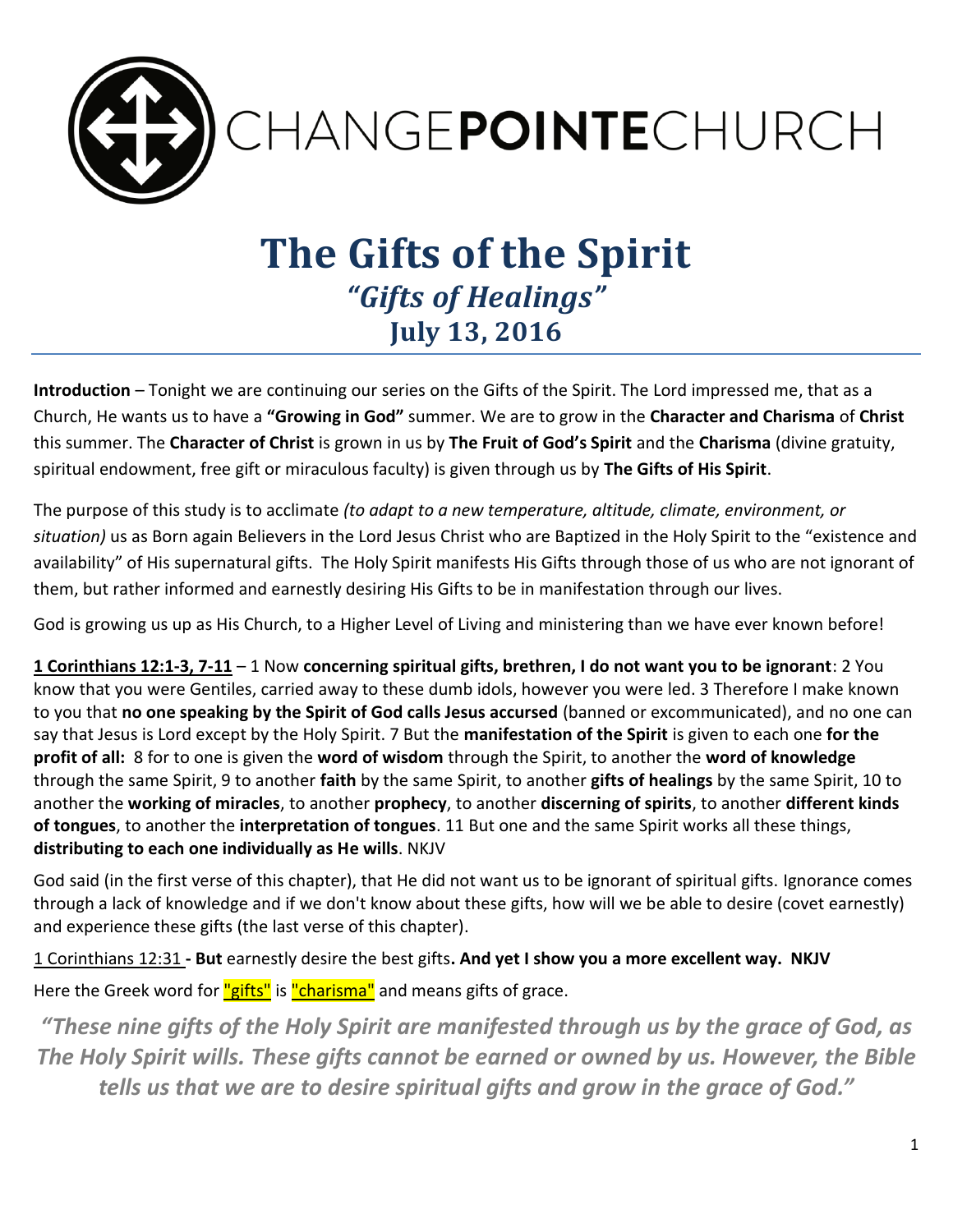

# **The Gifts of the Spirit** *"Gifts of Healings"* **July 13, 2016**

**Introduction** – Tonight we are continuing our series on the Gifts of the Spirit. The Lord impressed me, that as a Church, He wants us to have a **"Growing in God"** summer. We are to grow in the **Character and Charisma** of **Christ** this summer. The **Character of Christ** is grown in us by **The Fruit of God's Spirit** and the **Charisma** (divine gratuity, spiritual endowment, free gift or miraculous faculty) is given through us by **The Gifts of His Spirit**.

The purpose of this study is to acclimate *(to adapt to a new temperature, altitude, climate, environment, or situation)* us as Born again Believers in the Lord Jesus Christ who are Baptized in the Holy Spirit to the "existence and availability" of His supernatural gifts. The Holy Spirit manifests His Gifts through those of us who are not ignorant of them, but rather informed and earnestly desiring His Gifts to be in manifestation through our lives.

God is growing us up as His Church, to a Higher Level of Living and ministering than we have ever known before!

**1 Corinthians 12:1-3, 7-11** – 1 Now **concerning spiritual gifts, brethren, I do not want you to be ignorant**: 2 You know that you were Gentiles, carried away to these dumb idols, however you were led. 3 Therefore I make known to you that **no one speaking by the Spirit of God calls Jesus accursed** (banned or excommunicated), and no one can say that Jesus is Lord except by the Holy Spirit. 7 But the **manifestation of the Spirit** is given to each one **for the profit of all:** 8 for to one is given the **word of wisdom** through the Spirit, to another the **word of knowledge** through the same Spirit, 9 to another **faith** by the same Spirit, to another **gifts of healings** by the same Spirit, 10 to another the **working of miracles**, to another **prophecy**, to another **discerning of spirits**, to another **different kinds of tongues**, to another the **interpretation of tongues**. 11 But one and the same Spirit works all these things, **distributing to each one individually as He wills**. NKJV

God said (in the first verse of this chapter), that He did not want us to be ignorant of spiritual gifts. Ignorance comes through a lack of knowledge and if we don't know about these gifts, how will we be able to desire (covet earnestly) and experience these gifts (the last verse of this chapter).

1 Corinthians 12:31 **- But** earnestly desire the best gifts**. And yet I show you a more excellent way. NKJV** Here the Greek word for "gifts" is "charisma" and means gifts of grace.

*"These nine gifts of the Holy Spirit are manifested through us by the grace of God, as The Holy Spirit wills. These gifts cannot be earned or owned by us. However, the Bible tells us that we are to desire spiritual gifts and grow in the grace of God."*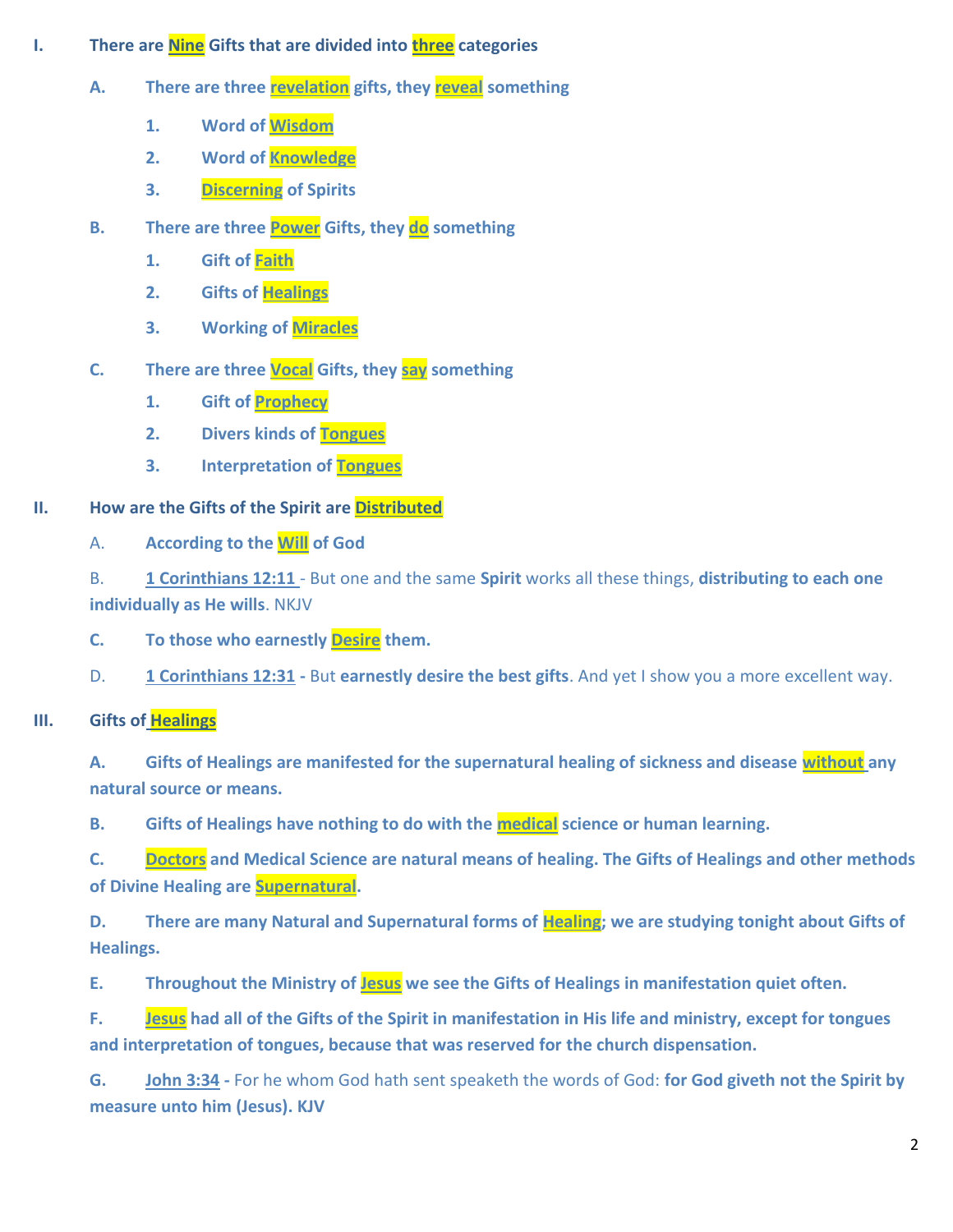- **I. There are Nine Gifts that are divided into three categories** 
	- **A. There are three revelation gifts, they reveal something**
		- **1. Word of Wisdom**
		- **2. Word of Knowledge**
		- **3. Discerning of Spirits**
	- **B. There are three Power Gifts, they do something** 
		- **1. Gift of Faith**
		- **2. Gifts of Healings**
		- **3. Working of Miracles**
	- **C. There are three Vocal Gifts, they say something**
		- **1. Gift of Prophecy**
		- **2. Divers kinds of Tongues**
		- **3. Interpretation of Tongues**

# **II. How are the Gifts of the Spirit are Distributed**

A. **According to the Will of God**

B. **1 Corinthians 12:11** - But one and the same **Spirit** works all these things, **distributing to each one individually as He wills**. NKJV

- **C. To those who earnestly Desire them.**
- D. **1 Corinthians 12:31 -** But **earnestly desire the best gifts**. And yet I show you a more excellent way.

# **III. Gifts of Healings**

**A. Gifts of Healings are manifested for the supernatural healing of sickness and disease without any natural source or means.** 

**B. Gifts of Healings have nothing to do with the medical science or human learning.** 

**C. Doctors and Medical Science are natural means of healing. The Gifts of Healings and other methods of Divine Healing are Supernatural.** 

**D. There are many Natural and Supernatural forms of Healing; we are studying tonight about Gifts of Healings.** 

**E. Throughout the Ministry of Jesus we see the Gifts of Healings in manifestation quiet often.** 

**F. Jesus had all of the Gifts of the Spirit in manifestation in His life and ministry, except for tongues and interpretation of tongues, because that was reserved for the church dispensation.** 

**G. John 3:34 -** For he whom God hath sent speaketh the words of God: **for God giveth not the Spirit by measure unto him (Jesus). KJV**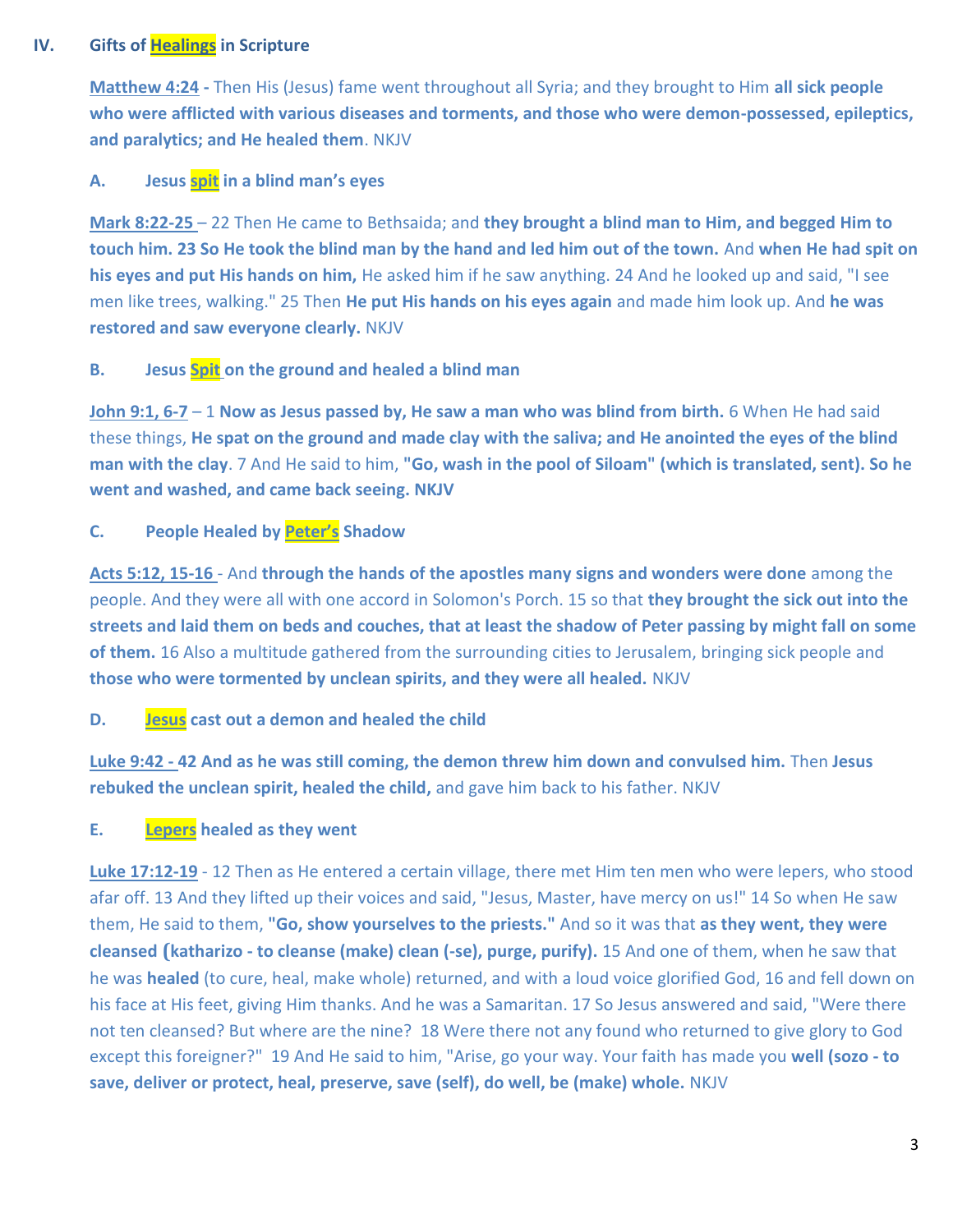# **IV. Gifts of Healings in Scripture**

**Matthew 4:24 -** Then His (Jesus) fame went throughout all Syria; and they brought to Him **all sick people who were afflicted with various diseases and torments, and those who were demon-possessed, epileptics, and paralytics; and He healed them**. NKJV

### **A. Jesus spit in a blind man's eyes**

**Mark 8:22-25** – 22 Then He came to Bethsaida; and **they brought a blind man to Him, and begged Him to touch him. 23 So He took the blind man by the hand and led him out of the town.** And **when He had spit on his eyes and put His hands on him,** He asked him if he saw anything. 24 And he looked up and said, "I see men like trees, walking." 25 Then **He put His hands on his eyes again** and made him look up. And **he was restored and saw everyone clearly.** NKJV

#### **B. Jesus Spit on the ground and healed a blind man**

**John 9:1, 6-7** – 1 **Now as Jesus passed by, He saw a man who was blind from birth.** 6 When He had said these things, **He spat on the ground and made clay with the saliva; and He anointed the eyes of the blind man with the clay**. 7 And He said to him, **"Go, wash in the pool of Siloam" (which is translated, sent). So he went and washed, and came back seeing. NKJV**

#### **C. People Healed by Peter's Shadow**

**Acts 5:12, 15-16** - And **through the hands of the apostles many signs and wonders were done** among the people. And they were all with one accord in Solomon's Porch. 15 so that **they brought the sick out into the streets and laid them on beds and couches, that at least the shadow of Peter passing by might fall on some of them.** 16 Also a multitude gathered from the surrounding cities to Jerusalem, bringing sick people and **those who were tormented by unclean spirits, and they were all healed.** NKJV

## **D. Jesus cast out a demon and healed the child**

**Luke 9:42 - 42 And as he was still coming, the demon threw him down and convulsed him.** Then **Jesus rebuked the unclean spirit, healed the child,** and gave him back to his father. NKJV

#### **E. Lepers healed as they went**

**Luke 17:12-19** - 12 Then as He entered a certain village, there met Him ten men who were lepers, who stood afar off. 13 And they lifted up their voices and said, "Jesus, Master, have mercy on us!" 14 So when He saw them, He said to them, **"Go, show yourselves to the priests."** And so it was that **as they went, they were cleansed (katharizo - to cleanse (make) clean (-se), purge, purify).** 15 And one of them, when he saw that he was **healed** (to cure, heal, make whole) returned, and with a loud voice glorified God, 16 and fell down on his face at His feet, giving Him thanks. And he was a Samaritan. 17 So Jesus answered and said, "Were there not ten cleansed? But where are the nine? 18 Were there not any found who returned to give glory to God except this foreigner?" 19 And He said to him, "Arise, go your way. Your faith has made you **well (sozo - to save, deliver or protect, heal, preserve, save (self), do well, be (make) whole.** NKJV